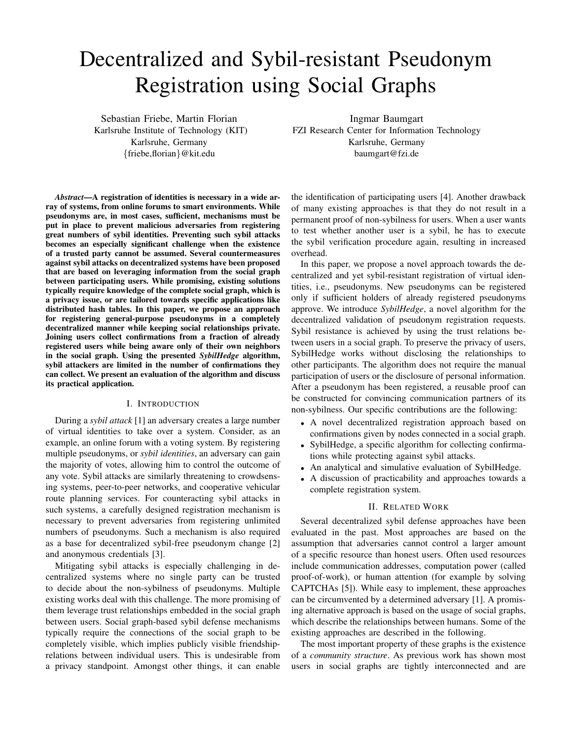# Decentralized and Sybil-resistant Pseudonym Registration using Social Graphs

Sebastian Friebe, Martin Florian Karlsruhe Institute of Technology (KIT) Karlsruhe, Germany {friebe,florian}@kit.edu

*Abstract*—A registration of identities is necessary in a wide array of systems, from online forums to smart environments. While pseudonyms are, in most cases, sufficient, mechanisms must be put in place to prevent malicious adversaries from registering great numbers of sybil identities. Preventing such sybil attacks becomes an especially significant challenge when the existence of a trusted party cannot be assumed. Several countermeasures against sybil attacks on decentralized systems have been proposed that are based on leveraging information from the social graph between participating users. While promising, existing solutions typically require knowledge of the complete social graph, which is a privacy issue, or are tailored towards specific applications like distributed hash tables. In this paper, we propose an approach for registering general-purpose pseudonyms in a completely decentralized manner while keeping social relationships private. Joining users collect confirmations from a fraction of already registered users while being aware only of their own neighbors in the social graph. Using the presented *SybilHedge* algorithm, sybil attackers are limited in the number of confirmations they can collect. We present an evaluation of the algorithm and discuss its practical application.

# I. INTRODUCTION

During a *sybil attack* [1] an adversary creates a large number of virtual identities to take over a system. Consider, as an example, an online forum with a voting system. By registering multiple pseudonyms, or *sybil identities*, an adversary can gain the majority of votes, allowing him to control the outcome of any vote. Sybil attacks are similarly threatening to crowdsensing systems, peer-to-peer networks, and cooperative vehicular route planning services. For counteracting sybil attacks in such systems, a carefully designed registration mechanism is necessary to prevent adversaries from registering unlimited numbers of pseudonyms. Such a mechanism is also required as a base for decentralized sybil-free pseudonym change [2] and anonymous credentials [3].

Mitigating sybil attacks is especially challenging in decentralized systems where no single party can be trusted to decide about the non-sybilness of pseudonyms. Multiple existing works deal with this challenge. The more promising of them leverage trust relationships embedded in the social graph between users. Social graph-based sybil defense mechanisms typically require the connections of the social graph to be completely visible, which implies publicly visible friendshiprelations between individual users. This is undesirable from a privacy standpoint. Amongst other things, it can enable

Ingmar Baumgart FZI Research Center for Information Technology Karlsruhe, Germany baumgart@fzi.de

the identification of participating users [4]. Another drawback of many existing approaches is that they do not result in a permanent proof of non-sybilness for users. When a user wants to test whether another user is a sybil, he has to execute the sybil verification procedure again, resulting in increased overhead.

In this paper, we propose a novel approach towards the decentralized and yet sybil-resistant registration of virtual identities, i.e., pseudonyms. New pseudonyms can be registered only if sufficient holders of already registered pseudonyms approve. We introduce *SybilHedge*, a novel algorithm for the decentralized validation of pseudonym registration requests. Sybil resistance is achieved by using the trust relations between users in a social graph. To preserve the privacy of users, SybilHedge works without disclosing the relationships to other participants. The algorithm does not require the manual participation of users or the disclosure of personal information. After a pseudonym has been registered, a reusable proof can be constructed for convincing communication partners of its non-sybilness. Our specific contributions are the following:

- A novel decentralized registration approach based on confirmations given by nodes connected in a social graph.
- SybilHedge, a specific algorithm for collecting confirmations while protecting against sybil attacks.
- An analytical and simulative evaluation of SybilHedge.
- A discussion of practicability and approaches towards a complete registration system.

#### II. RELATED WORK

Several decentralized sybil defense approaches have been evaluated in the past. Most approaches are based on the assumption that adversaries cannot control a larger amount of a specific resource than honest users. Often used resources include communication addresses, computation power (called proof-of-work), or human attention (for example by solving CAPTCHAs [5]). While easy to implement, these approaches can be circumvented by a determined adversary [1]. A promising alternative approach is based on the usage of social graphs, which describe the relationships between humans. Some of the existing approaches are described in the following.

The most important property of these graphs is the existence of a *community structure*. As previous work has shown most users in social graphs are tightly interconnected and are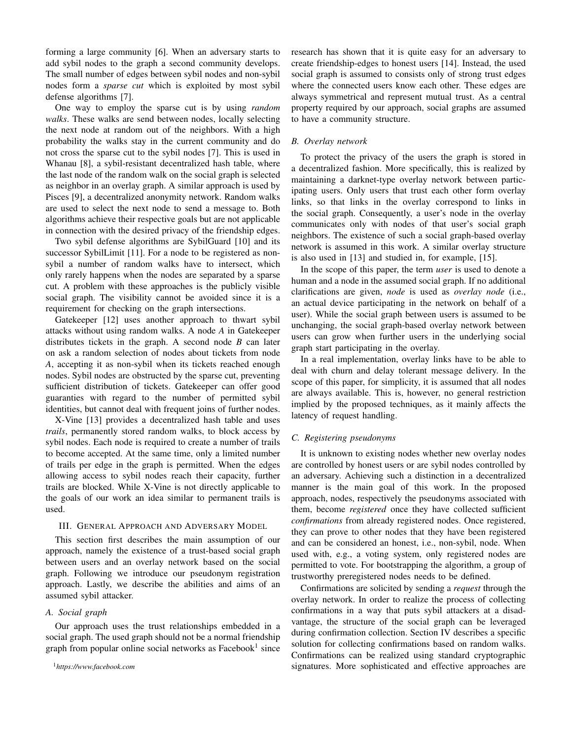forming a large community [6]. When an adversary starts to add sybil nodes to the graph a second community develops. The small number of edges between sybil nodes and non-sybil nodes form a *sparse cut* which is exploited by most sybil defense algorithms [7].

One way to employ the sparse cut is by using *random walks*. These walks are send between nodes, locally selecting the next node at random out of the neighbors. With a high probability the walks stay in the current community and do not cross the sparse cut to the sybil nodes [7]. This is used in Whanau [8], a sybil-resistant decentralized hash table, where the last node of the random walk on the social graph is selected as neighbor in an overlay graph. A similar approach is used by Pisces [9], a decentralized anonymity network. Random walks are used to select the next node to send a message to. Both algorithms achieve their respective goals but are not applicable in connection with the desired privacy of the friendship edges.

Two sybil defense algorithms are SybilGuard [10] and its successor SybilLimit [11]. For a node to be registered as nonsybil a number of random walks have to intersect, which only rarely happens when the nodes are separated by a sparse cut. A problem with these approaches is the publicly visible social graph. The visibility cannot be avoided since it is a requirement for checking on the graph intersections.

Gatekeeper [12] uses another approach to thwart sybil attacks without using random walks. A node *A* in Gatekeeper distributes tickets in the graph. A second node *B* can later on ask a random selection of nodes about tickets from node *A*, accepting it as non-sybil when its tickets reached enough nodes. Sybil nodes are obstructed by the sparse cut, preventing sufficient distribution of tickets. Gatekeeper can offer good guaranties with regard to the number of permitted sybil identities, but cannot deal with frequent joins of further nodes.

X-Vine [13] provides a decentralized hash table and uses *trails*, permanently stored random walks, to block access by sybil nodes. Each node is required to create a number of trails to become accepted. At the same time, only a limited number of trails per edge in the graph is permitted. When the edges allowing access to sybil nodes reach their capacity, further trails are blocked. While X-Vine is not directly applicable to the goals of our work an idea similar to permanent trails is used.

# III. GENERAL APPROACH AND ADVERSARY MODEL

This section first describes the main assumption of our approach, namely the existence of a trust-based social graph between users and an overlay network based on the social graph. Following we introduce our pseudonym registration approach. Lastly, we describe the abilities and aims of an assumed sybil attacker.

## *A. Social graph*

Our approach uses the trust relationships embedded in a social graph. The used graph should not be a normal friendship graph from popular online social networks as Facebook<sup>1</sup> since research has shown that it is quite easy for an adversary to create friendship-edges to honest users [14]. Instead, the used social graph is assumed to consists only of strong trust edges where the connected users know each other. These edges are always symmetrical and represent mutual trust. As a central property required by our approach, social graphs are assumed to have a community structure.

#### *B. Overlay network*

To protect the privacy of the users the graph is stored in a decentralized fashion. More specifically, this is realized by maintaining a darknet-type overlay network between participating users. Only users that trust each other form overlay links, so that links in the overlay correspond to links in the social graph. Consequently, a user's node in the overlay communicates only with nodes of that user's social graph neighbors. The existence of such a social graph-based overlay network is assumed in this work. A similar overlay structure is also used in [13] and studied in, for example, [15].

In the scope of this paper, the term *user* is used to denote a human and a node in the assumed social graph. If no additional clarifications are given, *node* is used as *overlay node* (i.e., an actual device participating in the network on behalf of a user). While the social graph between users is assumed to be unchanging, the social graph-based overlay network between users can grow when further users in the underlying social graph start participating in the overlay.

In a real implementation, overlay links have to be able to deal with churn and delay tolerant message delivery. In the scope of this paper, for simplicity, it is assumed that all nodes are always available. This is, however, no general restriction implied by the proposed techniques, as it mainly affects the latency of request handling.

## *C. Registering pseudonyms*

It is unknown to existing nodes whether new overlay nodes are controlled by honest users or are sybil nodes controlled by an adversary. Achieving such a distinction in a decentralized manner is the main goal of this work. In the proposed approach, nodes, respectively the pseudonyms associated with them, become *registered* once they have collected sufficient *confirmations* from already registered nodes. Once registered, they can prove to other nodes that they have been registered and can be considered an honest, i.e., non-sybil, node. When used with, e.g., a voting system, only registered nodes are permitted to vote. For bootstrapping the algorithm, a group of trustworthy preregistered nodes needs to be defined.

Confirmations are solicited by sending a *request* through the overlay network. In order to realize the process of collecting confirmations in a way that puts sybil attackers at a disadvantage, the structure of the social graph can be leveraged during confirmation collection. Section IV describes a specific solution for collecting confirmations based on random walks. Confirmations can be realized using standard cryptographic signatures. More sophisticated and effective approaches are

<sup>1</sup>*https://www.facebook.com*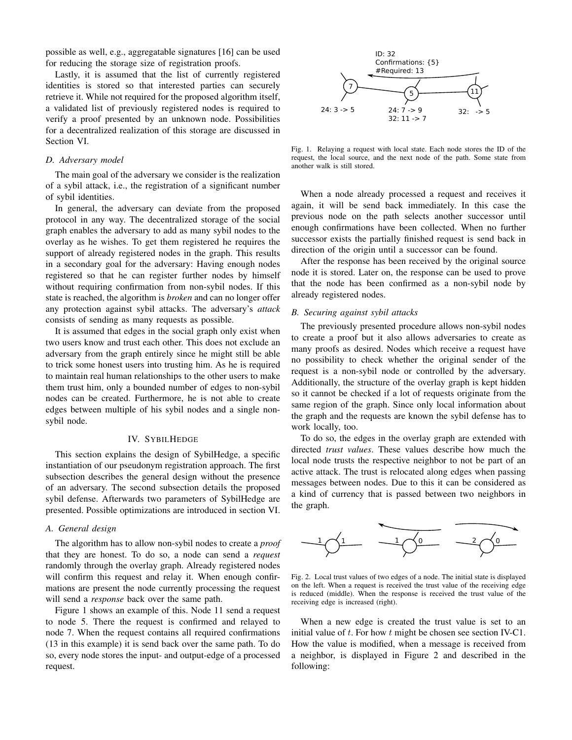possible as well, e.g., aggregatable signatures [16] can be used for reducing the storage size of registration proofs.

Lastly, it is assumed that the list of currently registered identities is stored so that interested parties can securely retrieve it. While not required for the proposed algorithm itself, a validated list of previously registered nodes is required to verify a proof presented by an unknown node. Possibilities for a decentralized realization of this storage are discussed in Section VI.

# *D. Adversary model*

The main goal of the adversary we consider is the realization of a sybil attack, i.e., the registration of a significant number of sybil identities.

In general, the adversary can deviate from the proposed protocol in any way. The decentralized storage of the social graph enables the adversary to add as many sybil nodes to the overlay as he wishes. To get them registered he requires the support of already registered nodes in the graph. This results in a secondary goal for the adversary: Having enough nodes registered so that he can register further nodes by himself without requiring confirmation from non-sybil nodes. If this state is reached, the algorithm is *broken* and can no longer offer any protection against sybil attacks. The adversary's *attack* consists of sending as many requests as possible.

It is assumed that edges in the social graph only exist when two users know and trust each other. This does not exclude an adversary from the graph entirely since he might still be able to trick some honest users into trusting him. As he is required to maintain real human relationships to the other users to make them trust him, only a bounded number of edges to non-sybil nodes can be created. Furthermore, he is not able to create edges between multiple of his sybil nodes and a single nonsybil node.

#### IV. SYBILHEDGE

This section explains the design of SybilHedge, a specific instantiation of our pseudonym registration approach. The first subsection describes the general design without the presence of an adversary. The second subsection details the proposed sybil defense. Afterwards two parameters of SybilHedge are presented. Possible optimizations are introduced in section VI.

# *A. General design*

The algorithm has to allow non-sybil nodes to create a *proof* that they are honest. To do so, a node can send a *request* randomly through the overlay graph. Already registered nodes will confirm this request and relay it. When enough confirmations are present the node currently processing the request will send a *response* back over the same path.

Figure 1 shows an example of this. Node 11 send a request to node 5. There the request is confirmed and relayed to node 7. When the request contains all required confirmations (13 in this example) it is send back over the same path. To do so, every node stores the input- and output-edge of a processed request.



Fig. 1. Relaying a request with local state. Each node stores the ID of the request, the local source, and the next node of the path. Some state from another walk is still stored.

When a node already processed a request and receives it again, it will be send back immediately. In this case the previous node on the path selects another successor until enough confirmations have been collected. When no further successor exists the partially finished request is send back in direction of the origin until a successor can be found.

After the response has been received by the original source node it is stored. Later on, the response can be used to prove that the node has been confirmed as a non-sybil node by already registered nodes.

# *B. Securing against sybil attacks*

The previously presented procedure allows non-sybil nodes to create a proof but it also allows adversaries to create as many proofs as desired. Nodes which receive a request have no possibility to check whether the original sender of the request is a non-sybil node or controlled by the adversary. Additionally, the structure of the overlay graph is kept hidden so it cannot be checked if a lot of requests originate from the same region of the graph. Since only local information about the graph and the requests are known the sybil defense has to work locally, too.

To do so, the edges in the overlay graph are extended with directed *trust values*. These values describe how much the local node trusts the respective neighbor to not be part of an active attack. The trust is relocated along edges when passing messages between nodes. Due to this it can be considered as a kind of currency that is passed between two neighbors in the graph.



Fig. 2. Local trust values of two edges of a node. The initial state is displayed on the left. When a request is received the trust value of the receiving edge is reduced (middle). When the response is received the trust value of the receiving edge is increased (right).

When a new edge is created the trust value is set to an initial value of  $t$ . For how  $t$  might be chosen see section IV-C1. How the value is modified, when a message is received from a neighbor, is displayed in Figure 2 and described in the following: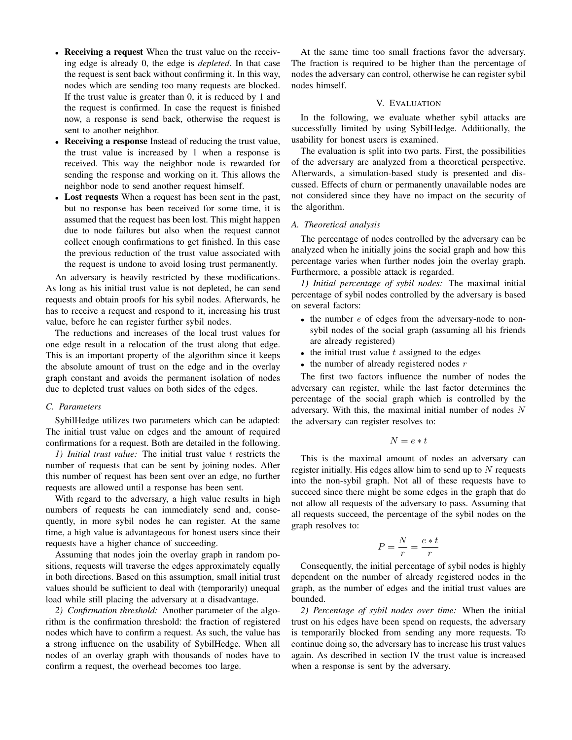- Receiving a request When the trust value on the receiving edge is already 0, the edge is *depleted*. In that case the request is sent back without confirming it. In this way, nodes which are sending too many requests are blocked. If the trust value is greater than 0, it is reduced by 1 and the request is confirmed. In case the request is finished now, a response is send back, otherwise the request is sent to another neighbor.
- Receiving a response Instead of reducing the trust value, the trust value is increased by 1 when a response is received. This way the neighbor node is rewarded for sending the response and working on it. This allows the neighbor node to send another request himself.
- Lost requests When a request has been sent in the past, but no response has been received for some time, it is assumed that the request has been lost. This might happen due to node failures but also when the request cannot collect enough confirmations to get finished. In this case the previous reduction of the trust value associated with the request is undone to avoid losing trust permanently.

An adversary is heavily restricted by these modifications. As long as his initial trust value is not depleted, he can send requests and obtain proofs for his sybil nodes. Afterwards, he has to receive a request and respond to it, increasing his trust value, before he can register further sybil nodes.

The reductions and increases of the local trust values for one edge result in a relocation of the trust along that edge. This is an important property of the algorithm since it keeps the absolute amount of trust on the edge and in the overlay graph constant and avoids the permanent isolation of nodes due to depleted trust values on both sides of the edges.

#### *C. Parameters*

SybilHedge utilizes two parameters which can be adapted: The initial trust value on edges and the amount of required confirmations for a request. Both are detailed in the following.

*1) Initial trust value:* The initial trust value t restricts the number of requests that can be sent by joining nodes. After this number of request has been sent over an edge, no further requests are allowed until a response has been sent.

With regard to the adversary, a high value results in high numbers of requests he can immediately send and, consequently, in more sybil nodes he can register. At the same time, a high value is advantageous for honest users since their requests have a higher chance of succeeding.

Assuming that nodes join the overlay graph in random positions, requests will traverse the edges approximately equally in both directions. Based on this assumption, small initial trust values should be sufficient to deal with (temporarily) unequal load while still placing the adversary at a disadvantage.

*2) Confirmation threshold:* Another parameter of the algorithm is the confirmation threshold: the fraction of registered nodes which have to confirm a request. As such, the value has a strong influence on the usability of SybilHedge. When all nodes of an overlay graph with thousands of nodes have to confirm a request, the overhead becomes too large.

At the same time too small fractions favor the adversary. The fraction is required to be higher than the percentage of nodes the adversary can control, otherwise he can register sybil nodes himself.

# V. EVALUATION

In the following, we evaluate whether sybil attacks are successfully limited by using SybilHedge. Additionally, the usability for honest users is examined.

The evaluation is split into two parts. First, the possibilities of the adversary are analyzed from a theoretical perspective. Afterwards, a simulation-based study is presented and discussed. Effects of churn or permanently unavailable nodes are not considered since they have no impact on the security of the algorithm.

# *A. Theoretical analysis*

The percentage of nodes controlled by the adversary can be analyzed when he initially joins the social graph and how this percentage varies when further nodes join the overlay graph. Furthermore, a possible attack is regarded.

*1) Initial percentage of sybil nodes:* The maximal initial percentage of sybil nodes controlled by the adversary is based on several factors:

- $\bullet$  the number  $e$  of edges from the adversary-node to nonsybil nodes of the social graph (assuming all his friends are already registered)
- the initial trust value  $t$  assigned to the edges
- $\bullet$  the number of already registered nodes  $r$

The first two factors influence the number of nodes the adversary can register, while the last factor determines the percentage of the social graph which is controlled by the adversary. With this, the maximal initial number of nodes N the adversary can register resolves to:

$$
N = e*t
$$

This is the maximal amount of nodes an adversary can register initially. His edges allow him to send up to  $N$  requests into the non-sybil graph. Not all of these requests have to succeed since there might be some edges in the graph that do not allow all requests of the adversary to pass. Assuming that all requests succeed, the percentage of the sybil nodes on the graph resolves to:

$$
P = \frac{N}{r} = \frac{e * t}{r}
$$

Consequently, the initial percentage of sybil nodes is highly dependent on the number of already registered nodes in the graph, as the number of edges and the initial trust values are bounded.

*2) Percentage of sybil nodes over time:* When the initial trust on his edges have been spend on requests, the adversary is temporarily blocked from sending any more requests. To continue doing so, the adversary has to increase his trust values again. As described in section IV the trust value is increased when a response is sent by the adversary.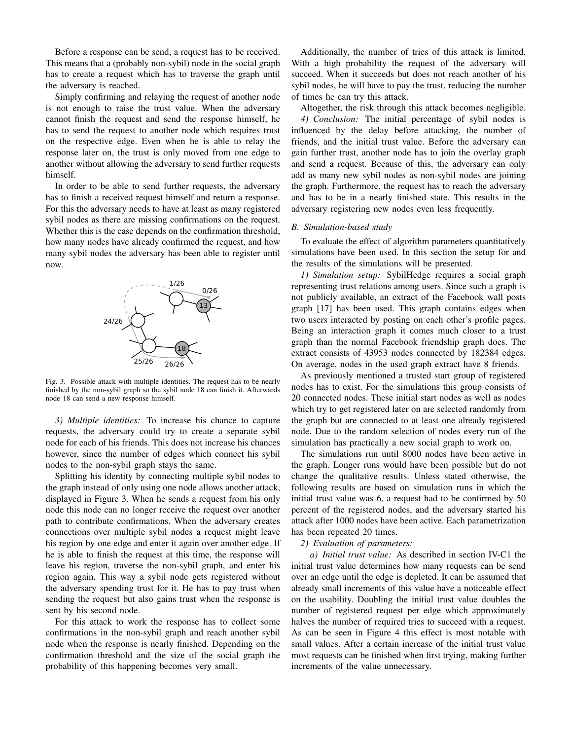Before a response can be send, a request has to be received. This means that a (probably non-sybil) node in the social graph has to create a request which has to traverse the graph until the adversary is reached.

Simply confirming and relaying the request of another node is not enough to raise the trust value. When the adversary cannot finish the request and send the response himself, he has to send the request to another node which requires trust on the respective edge. Even when he is able to relay the response later on, the trust is only moved from one edge to another without allowing the adversary to send further requests himself.

In order to be able to send further requests, the adversary has to finish a received request himself and return a response. For this the adversary needs to have at least as many registered sybil nodes as there are missing confirmations on the request. Whether this is the case depends on the confirmation threshold, how many nodes have already confirmed the request, and how many sybil nodes the adversary has been able to register until now.



Fig. 3. Possible attack with multiple identities. The request has to be nearly finished by the non-sybil graph so the sybil node 18 can finish it. Afterwards node 18 can send a new response himself.

*3) Multiple identities:* To increase his chance to capture requests, the adversary could try to create a separate sybil node for each of his friends. This does not increase his chances however, since the number of edges which connect his sybil nodes to the non-sybil graph stays the same.

Splitting his identity by connecting multiple sybil nodes to the graph instead of only using one node allows another attack, displayed in Figure 3. When he sends a request from his only node this node can no longer receive the request over another path to contribute confirmations. When the adversary creates connections over multiple sybil nodes a request might leave his region by one edge and enter it again over another edge. If he is able to finish the request at this time, the response will leave his region, traverse the non-sybil graph, and enter his region again. This way a sybil node gets registered without the adversary spending trust for it. He has to pay trust when sending the request but also gains trust when the response is sent by his second node.

For this attack to work the response has to collect some confirmations in the non-sybil graph and reach another sybil node when the response is nearly finished. Depending on the confirmation threshold and the size of the social graph the probability of this happening becomes very small.

Additionally, the number of tries of this attack is limited. With a high probability the request of the adversary will succeed. When it succeeds but does not reach another of his sybil nodes, he will have to pay the trust, reducing the number of times he can try this attack.

Altogether, the risk through this attack becomes negligible. *4) Conclusion:* The initial percentage of sybil nodes is influenced by the delay before attacking, the number of friends, and the initial trust value. Before the adversary can gain further trust, another node has to join the overlay graph and send a request. Because of this, the adversary can only add as many new sybil nodes as non-sybil nodes are joining the graph. Furthermore, the request has to reach the adversary and has to be in a nearly finished state. This results in the adversary registering new nodes even less frequently.

# *B. Simulation-based study*

To evaluate the effect of algorithm parameters quantitatively simulations have been used. In this section the setup for and the results of the simulations will be presented.

*1) Simulation setup:* SybilHedge requires a social graph representing trust relations among users. Since such a graph is not publicly available, an extract of the Facebook wall posts graph [17] has been used. This graph contains edges when two users interacted by posting on each other's profile pages. Being an interaction graph it comes much closer to a trust graph than the normal Facebook friendship graph does. The extract consists of 43953 nodes connected by 182384 edges. On average, nodes in the used graph extract have 8 friends.

As previously mentioned a trusted start group of registered nodes has to exist. For the simulations this group consists of 20 connected nodes. These initial start nodes as well as nodes which try to get registered later on are selected randomly from the graph but are connected to at least one already registered node. Due to the random selection of nodes every run of the simulation has practically a new social graph to work on.

The simulations run until 8000 nodes have been active in the graph. Longer runs would have been possible but do not change the qualitative results. Unless stated otherwise, the following results are based on simulation runs in which the initial trust value was 6, a request had to be confirmed by 50 percent of the registered nodes, and the adversary started his attack after 1000 nodes have been active. Each parametrization has been repeated 20 times.

*2) Evaluation of parameters:*

*a) Initial trust value:* As described in section IV-C1 the initial trust value determines how many requests can be send over an edge until the edge is depleted. It can be assumed that already small increments of this value have a noticeable effect on the usability. Doubling the initial trust value doubles the number of registered request per edge which approximately halves the number of required tries to succeed with a request. As can be seen in Figure 4 this effect is most notable with small values. After a certain increase of the initial trust value most requests can be finished when first trying, making further increments of the value unnecessary.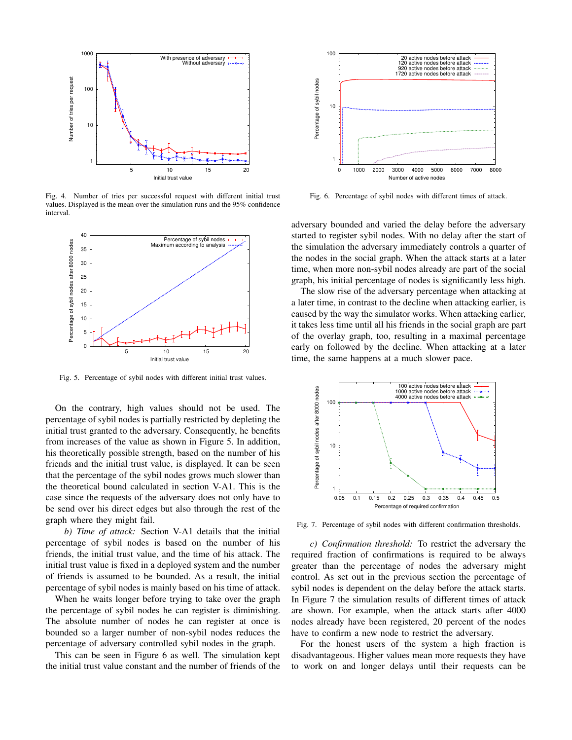

Fig. 4. Number of tries per successful request with different initial trust values. Displayed is the mean over the simulation runs and the 95% confidence interval.



Fig. 5. Percentage of sybil nodes with different initial trust values.

On the contrary, high values should not be used. The percentage of sybil nodes is partially restricted by depleting the initial trust granted to the adversary. Consequently, he benefits from increases of the value as shown in Figure 5. In addition, his theoretically possible strength, based on the number of his friends and the initial trust value, is displayed. It can be seen that the percentage of the sybil nodes grows much slower than the theoretical bound calculated in section V-A1. This is the case since the requests of the adversary does not only have to be send over his direct edges but also through the rest of the graph where they might fail.

*b) Time of attack:* Section V-A1 details that the initial percentage of sybil nodes is based on the number of his friends, the initial trust value, and the time of his attack. The initial trust value is fixed in a deployed system and the number of friends is assumed to be bounded. As a result, the initial percentage of sybil nodes is mainly based on his time of attack.

When he waits longer before trying to take over the graph the percentage of sybil nodes he can register is diminishing. The absolute number of nodes he can register at once is bounded so a larger number of non-sybil nodes reduces the percentage of adversary controlled sybil nodes in the graph.

This can be seen in Figure 6 as well. The simulation kept the initial trust value constant and the number of friends of the



Fig. 6. Percentage of sybil nodes with different times of attack.

adversary bounded and varied the delay before the adversary started to register sybil nodes. With no delay after the start of the simulation the adversary immediately controls a quarter of the nodes in the social graph. When the attack starts at a later time, when more non-sybil nodes already are part of the social graph, his initial percentage of nodes is significantly less high.

The slow rise of the adversary percentage when attacking at a later time, in contrast to the decline when attacking earlier, is caused by the way the simulator works. When attacking earlier, it takes less time until all his friends in the social graph are part of the overlay graph, too, resulting in a maximal percentage early on followed by the decline. When attacking at a later time, the same happens at a much slower pace.



Fig. 7. Percentage of sybil nodes with different confirmation thresholds.

*c) Confirmation threshold:* To restrict the adversary the required fraction of confirmations is required to be always greater than the percentage of nodes the adversary might control. As set out in the previous section the percentage of sybil nodes is dependent on the delay before the attack starts. In Figure 7 the simulation results of different times of attack are shown. For example, when the attack starts after 4000 nodes already have been registered, 20 percent of the nodes have to confirm a new node to restrict the adversary.

For the honest users of the system a high fraction is disadvantageous. Higher values mean more requests they have to work on and longer delays until their requests can be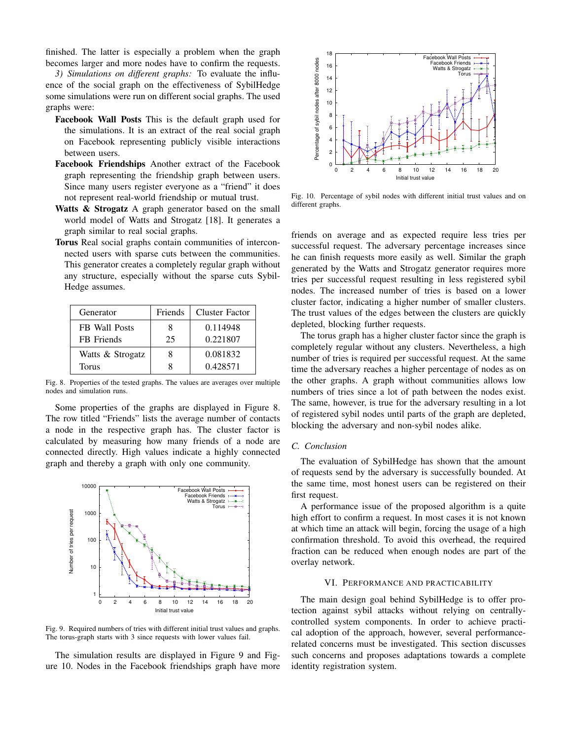finished. The latter is especially a problem when the graph becomes larger and more nodes have to confirm the requests.

*3) Simulations on different graphs:* To evaluate the influence of the social graph on the effectiveness of SybilHedge some simulations were run on different social graphs. The used graphs were:

- Facebook Wall Posts This is the default graph used for the simulations. It is an extract of the real social graph on Facebook representing publicly visible interactions between users.
- Facebook Friendships Another extract of the Facebook graph representing the friendship graph between users. Since many users register everyone as a "friend" it does not represent real-world friendship or mutual trust.
- Watts & Strogatz A graph generator based on the small world model of Watts and Strogatz [18]. It generates a graph similar to real social graphs.
- Torus Real social graphs contain communities of interconnected users with sparse cuts between the communities. This generator creates a completely regular graph without any structure, especially without the sparse cuts Sybil-Hedge assumes.

| Generator        | Friends | <b>Cluster Factor</b> |
|------------------|---------|-----------------------|
| FB Wall Posts    |         | 0.114948              |
| FB Friends       | 25      | 0.221807              |
| Watts & Strogatz |         | 0.081832              |
| <b>Torus</b>     |         | 0.428571              |

Fig. 8. Properties of the tested graphs. The values are averages over multiple nodes and simulation runs.

Some properties of the graphs are displayed in Figure 8. The row titled "Friends" lists the average number of contacts a node in the respective graph has. The cluster factor is calculated by measuring how many friends of a node are connected directly. High values indicate a highly connected graph and thereby a graph with only one community.



Fig. 9. Required numbers of tries with different initial trust values and graphs. The torus-graph starts with 3 since requests with lower values fail.

The simulation results are displayed in Figure 9 and Figure 10. Nodes in the Facebook friendships graph have more



Fig. 10. Percentage of sybil nodes with different initial trust values and on different graphs.

friends on average and as expected require less tries per successful request. The adversary percentage increases since he can finish requests more easily as well. Similar the graph generated by the Watts and Strogatz generator requires more tries per successful request resulting in less registered sybil nodes. The increased number of tries is based on a lower cluster factor, indicating a higher number of smaller clusters. The trust values of the edges between the clusters are quickly depleted, blocking further requests.

The torus graph has a higher cluster factor since the graph is completely regular without any clusters. Nevertheless, a high number of tries is required per successful request. At the same time the adversary reaches a higher percentage of nodes as on the other graphs. A graph without communities allows low numbers of tries since a lot of path between the nodes exist. The same, however, is true for the adversary resulting in a lot of registered sybil nodes until parts of the graph are depleted, blocking the adversary and non-sybil nodes alike.

## *C. Conclusion*

The evaluation of SybilHedge has shown that the amount of requests send by the adversary is successfully bounded. At the same time, most honest users can be registered on their first request.

A performance issue of the proposed algorithm is a quite high effort to confirm a request. In most cases it is not known at which time an attack will begin, forcing the usage of a high confirmation threshold. To avoid this overhead, the required fraction can be reduced when enough nodes are part of the overlay network.

## VI. PERFORMANCE AND PRACTICABILITY

The main design goal behind SybilHedge is to offer protection against sybil attacks without relying on centrallycontrolled system components. In order to achieve practical adoption of the approach, however, several performancerelated concerns must be investigated. This section discusses such concerns and proposes adaptations towards a complete identity registration system.